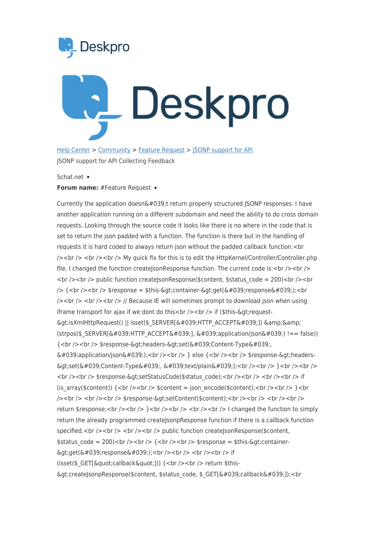



HelpCenter > [Community](https://support.deskpro.com/fa/community) > Feature Request > ISONP support for API JSONP support for API Collecting Feedback

## Schat.net •

## **Forum name: # Feature Request •**

Currently the application doesn't return properly structured JSONP responses. I have another application running on a different subdomain and need the ability to do cross domain requests. Looking through the source code it looks like there is no where in the code that is set to return the json padded with a function. The function is there but in the handling of requests it is hard coded to always return json without the padded callback function.<br />
loogled to always return json without the padded callback function.<br />
In  $p >$   $\frac{p}{\lambda}$   $\frac{p}{\lambda}$   $\frac{p}{\lambda}$   $\frac{p}{\lambda}$  My quick fix for this is to edit the HttpKernel/Controller/Controller.php file. I changed the function createJsonResponse function. The current code is:  $\langle$ br  $/$ >  $\rangle$  $\text{str}$  />  $\text{str}$  />  $\text{cm}$  public function createJsonResponse(\$content, \$status code = 200) $\text{str}$  /> $\text{str}$  $\frac{1}{8}$  /> {<br />> /> <br /> \$response = \$this-&qt;container-&qt;get(&#039;response&#039;);<br  $\frac{1}{5}$  />  $\frac{1}{5}$  />  $\frac{1}{5}$  /> // Because IE will sometimes prompt to download json when using iframe transport for ajax if we dont do this  $\>$  br  $\>$   $\>$  if (\$this-&qt; request- $\delta$ gt;isXmlHttpRequest() || isset(\$ SERVER[ $\delta$ #039;HTTP ACCEPT $\delta$ #039;])  $\delta$ amp; $\delta$ amp;  $(s$ trpos(\$ SERVER['HTTP ACCEPT'], 'application/json') !== false)) {<br />> <br /> \$response-&gt;headers-&gt;set(&#039;Content-Type&#039;  $\&\#039$ ;application/json $&\#039$ ;); < br />> /> < br /> > } else { < br /> < br />  $\&$  fresponse- $&$ gt; headers->set('Content-Type', 'text/plain');<br />> /> <br /> }<br /> />><br /> <br />> <br /><br /><br />
stesponse-&gt;setStatusCode(\$status code);<br />>>/>><br />> <br />><br />> <br />>if (is array(\$content))  $\{<\text{br}/>$   $\leq$  br  $\geq$  \$content = ison encode(\$content);  $<$  br  $\geq$   $\leq$  br  $\gamma$  < br /> < br />> < br />> < br /> \$response-&qt;setContent(\$content); < br /> > < br />> < br /> < br />> < br />> return \$response;  $\text{ch}(z)$  /  $\text{ch}(z)$  /  $\text{ch}(z)$  /  $\text{ch}(z)$  /  $\text{ch}(z)$  /  $\text{ch}(z)$  is changed the function to simply return the already programmed createJsonpResponse function if there is a callback function specified.<br/> $\langle$ - $\rangle$ the />  $\langle$   $>$  />  $\langle$   $\rangle$  />  $\langle$  />  $\langle$  by //> public function create sponse (\$ content,  $\frac{1}{2}$  status code = 200)<br/>ker /><br/> br /> {<br/> < br /> < br />  $\frac{1}{2}$  fresponse = \$this-&qt;<br/>container- $\text{Set}(k \# 039; \text{response}(k \# 039))$ ; < br /> < br /> < br /> tf (isset(\$ GET["callback"])) { <br />> <br />> return \$this- $\delta$ gt;createJsonpResponse(\$content, \$status code, \$ GET[ $\delta$ #039;callback $\delta$ #039;]);<br